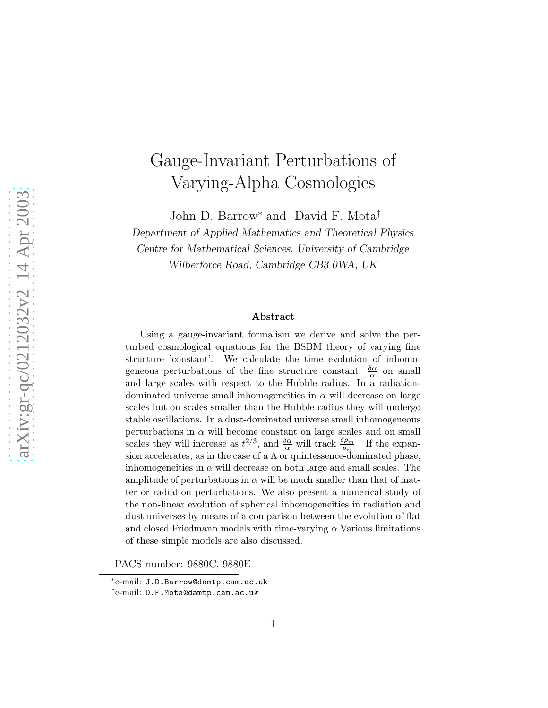# Gauge-Invariant Perturbations of Varying-Alpha Cosmologies

John D. Barrow<sup>∗</sup> and David F. Mota†

Department of Applied Mathematics and Theoretical Physics Centre for Mathematical Sciences, University of Cambridge

Wilberforce Road, Cambridge CB3 0WA, UK

#### Abstract

Using a gauge-invariant formalism we derive and solve the perturbed cosmological equations for the BSBM theory of varying fine structure 'constant'. We calculate the time evolution of inhomogeneous perturbations of the fine structure constant,  $\frac{\delta \alpha}{\alpha}$  on small and large scales with respect to the Hubble radius. In a radiationdominated universe small inhomogeneities in  $\alpha$  will decrease on large scales but on scales smaller than the Hubble radius they will undergo stable oscillations. In a dust-dominated universe small inhomogeneous perturbations in  $\alpha$  will become constant on large scales and on small scales they will increase as  $t^{2/3}$ , and  $\frac{\delta \alpha}{\alpha}$  will track  $\frac{\delta \rho_m}{\rho_m}$ . If the expansion accelerates, as in the case of a  $\Lambda$  or quintessence-dominated phase, inhomogeneities in  $\alpha$  will decrease on both large and small scales. The amplitude of perturbations in  $\alpha$  will be much smaller than that of matter or radiation perturbations. We also present a numerical study of the non-linear evolution of spherical inhomogeneities in radiation and dust universes by means of a comparison between the evolution of flat and closed Friedmann models with time-varying  $\alpha$ . Various limitations of these simple models are also discussed.

PACS number: 9880C, 9880E

<sup>∗</sup> e-mail: J.D.Barrow@damtp.cam.ac.uk † e-mail: D.F.Mota@damtp.cam.ac.uk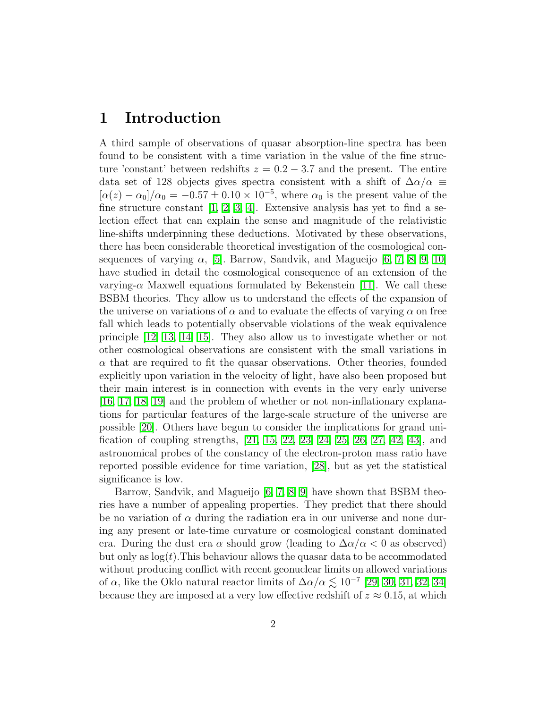## 1 Introduction

A third sample of observations of quasar absorption-line spectra has been found to be consistent with a time variation in the value of the fine structure 'constant' between redshifts  $z = 0.2 - 3.7$  and the present. The entire data set of 128 objects gives spectra consistent with a shift of  $\Delta \alpha / \alpha \equiv$  $[\alpha(z) - \alpha_0]/\alpha_0 = -0.57 \pm 0.10 \times 10^{-5}$ , where  $\alpha_0$  is the present value of the fine structure constant [\[1,](#page-25-0) [2,](#page-25-1) [3,](#page-25-2) [4\]](#page-25-3). Extensive analysis has yet to find a selection effect that can explain the sense and magnitude of the relativistic line-shifts underpinning these deductions. Motivated by these observations, there has been considerable theoretical investigation of the cosmological consequences of varying  $\alpha$ , [\[5\]](#page-25-4). Barrow, Sandvik, and Magueijo [\[6,](#page-25-5) [7,](#page-25-6) [8,](#page-26-0) [9,](#page-26-1) [10\]](#page-26-2) have studied in detail the cosmological consequence of an extension of the varying- $\alpha$  Maxwell equations formulated by Bekenstein [\[11\]](#page-26-3). We call these BSBM theories. They allow us to understand the effects of the expansion of the universe on variations of  $\alpha$  and to evaluate the effects of varying  $\alpha$  on free fall which leads to potentially observable violations of the weak equivalence principle [\[12,](#page-26-4) [13,](#page-26-5) [14,](#page-26-6) [15\]](#page-26-7). They also allow us to investigate whether or not other cosmological observations are consistent with the small variations in  $\alpha$  that are required to fit the quasar observations. Other theories, founded explicitly upon variation in the velocity of light, have also been proposed but their main interest is in connection with events in the very early universe [\[16,](#page-26-8) [17,](#page-26-9) [18,](#page-26-10) [19\]](#page-26-11) and the problem of whether or not non-inflationary explanations for particular features of the large-scale structure of the universe are possible [\[20\]](#page-26-12). Others have begun to consider the implications for grand unification of coupling strengths, [\[21,](#page-26-13) [15,](#page-26-7) [22,](#page-26-14) [23,](#page-26-15) [24,](#page-26-16) [25,](#page-26-17) [26,](#page-26-18) [27,](#page-27-0) [42,](#page-27-1) [43\]](#page-27-2), and astronomical probes of the constancy of the electron-proton mass ratio have reported possible evidence for time variation, [\[28\]](#page-27-3), but as yet the statistical significance is low.

Barrow, Sandvik, and Magueijo [\[6,](#page-25-5) [7,](#page-25-6) [8,](#page-26-0) [9\]](#page-26-1) have shown that BSBM theories have a number of appealing properties. They predict that there should be no variation of  $\alpha$  during the radiation era in our universe and none during any present or late-time curvature or cosmological constant dominated era. During the dust era  $\alpha$  should grow (leading to  $\Delta\alpha/\alpha < 0$  as observed) but only as  $log(t)$ . This behaviour allows the quasar data to be accommodated without producing conflict with recent geonuclear limits on allowed variations of  $\alpha$ , like the Oklo natural reactor limits of  $\Delta\alpha/\alpha \lesssim 10^{-7}$  [\[29,](#page-27-4) [30,](#page-27-5) [31,](#page-27-6) [32,](#page-27-7) [34\]](#page-27-8) because they are imposed at a very low effective redshift of  $z \approx 0.15$ , at which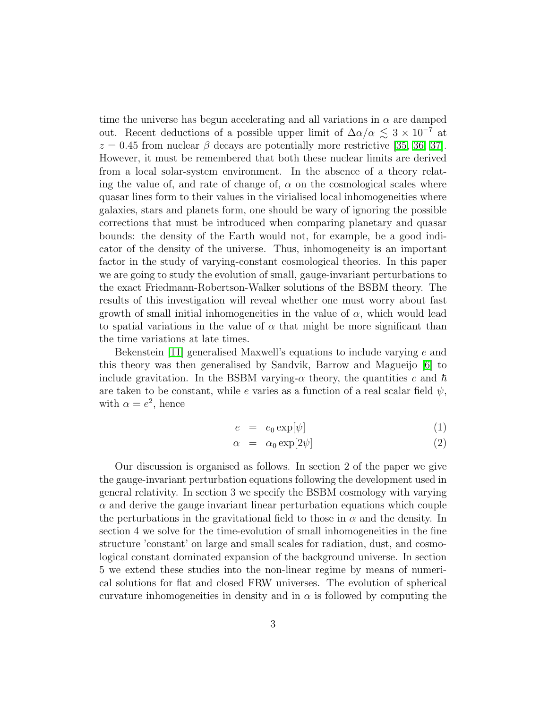time the universe has begun accelerating and all variations in  $\alpha$  are damped out. Recent deductions of a possible upper limit of  $\Delta\alpha/\alpha \lesssim 3 \times 10^{-7}$  at  $z = 0.45$  from nuclear  $\beta$  decays are potentially more restrictive [\[35,](#page-27-9) [36,](#page-27-10) [37\]](#page-27-11). However, it must be remembered that both these nuclear limits are derived from a local solar-system environment. In the absence of a theory relating the value of, and rate of change of,  $\alpha$  on the cosmological scales where quasar lines form to their values in the virialised local inhomogeneities where galaxies, stars and planets form, one should be wary of ignoring the possible corrections that must be introduced when comparing planetary and quasar bounds: the density of the Earth would not, for example, be a good indicator of the density of the universe. Thus, inhomogeneity is an important factor in the study of varying-constant cosmological theories. In this paper we are going to study the evolution of small, gauge-invariant perturbations to the exact Friedmann-Robertson-Walker solutions of the BSBM theory. The results of this investigation will reveal whether one must worry about fast growth of small initial inhomogeneities in the value of  $\alpha$ , which would lead to spatial variations in the value of  $\alpha$  that might be more significant than the time variations at late times.

Bekenstein [\[11\]](#page-26-3) generalised Maxwell's equations to include varying e and this theory was then generalised by Sandvik, Barrow and Magueijo [\[6\]](#page-25-5) to include gravitation. In the BSBM varying- $\alpha$  theory, the quantities c and  $\hbar$ are taken to be constant, while e varies as a function of a real scalar field  $\psi$ , with  $\alpha = e^2$ , hence

<span id="page-2-0"></span>
$$
e = e_0 \exp[\psi] \tag{1}
$$

$$
\alpha = \alpha_0 \exp[2\psi] \tag{2}
$$

Our discussion is organised as follows. In section 2 of the paper we give the gauge-invariant perturbation equations following the development used in general relativity. In section 3 we specify the BSBM cosmology with varying  $\alpha$  and derive the gauge invariant linear perturbation equations which couple the perturbations in the gravitational field to those in  $\alpha$  and the density. In section 4 we solve for the time-evolution of small inhomogeneities in the fine structure 'constant' on large and small scales for radiation, dust, and cosmological constant dominated expansion of the background universe. In section 5 we extend these studies into the non-linear regime by means of numerical solutions for flat and closed FRW universes. The evolution of spherical curvature inhomogeneities in density and in  $\alpha$  is followed by computing the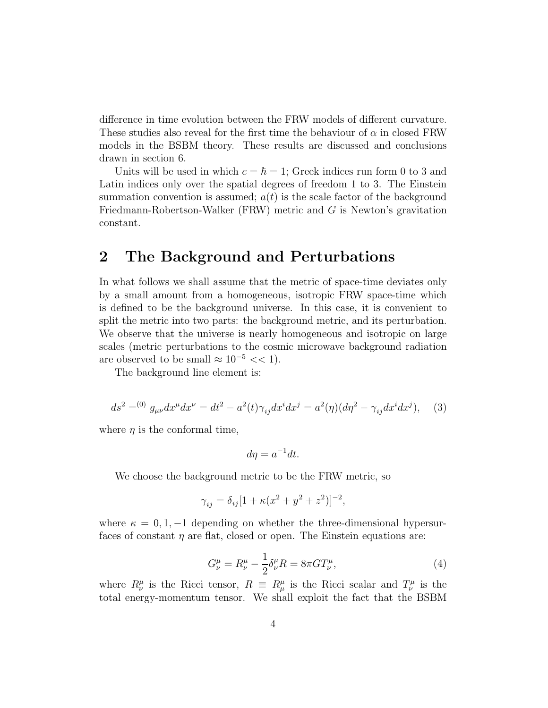difference in time evolution between the FRW models of different curvature. These studies also reveal for the first time the behaviour of  $\alpha$  in closed FRW models in the BSBM theory. These results are discussed and conclusions drawn in section 6.

Units will be used in which  $c = \hbar = 1$ ; Greek indices run form 0 to 3 and Latin indices only over the spatial degrees of freedom 1 to 3. The Einstein summation convention is assumed;  $a(t)$  is the scale factor of the background Friedmann-Robertson-Walker (FRW) metric and G is Newton's gravitation constant.

## 2 The Background and Perturbations

In what follows we shall assume that the metric of space-time deviates only by a small amount from a homogeneous, isotropic FRW space-time which is defined to be the background universe. In this case, it is convenient to split the metric into two parts: the background metric, and its perturbation. We observe that the universe is nearly homogeneous and isotropic on large scales (metric perturbations to the cosmic microwave background radiation are observed to be small  $\approx 10^{-5} << 1$ .

The background line element is:

$$
ds^{2} = {}^{(0)}g_{\mu\nu}dx^{\mu}dx^{\nu} = dt^{2} - a^{2}(t)\gamma_{ij}dx^{i}dx^{j} = a^{2}(\eta)(d\eta^{2} - \gamma_{ij}dx^{i}dx^{j}), \quad (3)
$$

<span id="page-3-0"></span>where  $\eta$  is the conformal time,

$$
d\eta = a^{-1}dt.
$$

We choose the background metric to be the FRW metric, so

$$
\gamma_{ij} = \delta_{ij} [1 + \kappa (x^2 + y^2 + z^2)]^{-2},
$$

where  $\kappa = 0, 1, -1$  depending on whether the three-dimensional hypersurfaces of constant  $\eta$  are flat, closed or open. The Einstein equations are:

$$
G^{\mu}_{\nu} = R^{\mu}_{\nu} - \frac{1}{2} \delta^{\mu}_{\nu} R = 8\pi G T^{\mu}_{\nu},
$$
\n(4)

where  $R^{\mu}_{\nu}$  is the Ricci tensor,  $R \equiv R^{\mu}_{\mu}$  is the Ricci scalar and  $T^{\mu}_{\nu}$  is the total energy-momentum tensor. We shall exploit the fact that the BSBM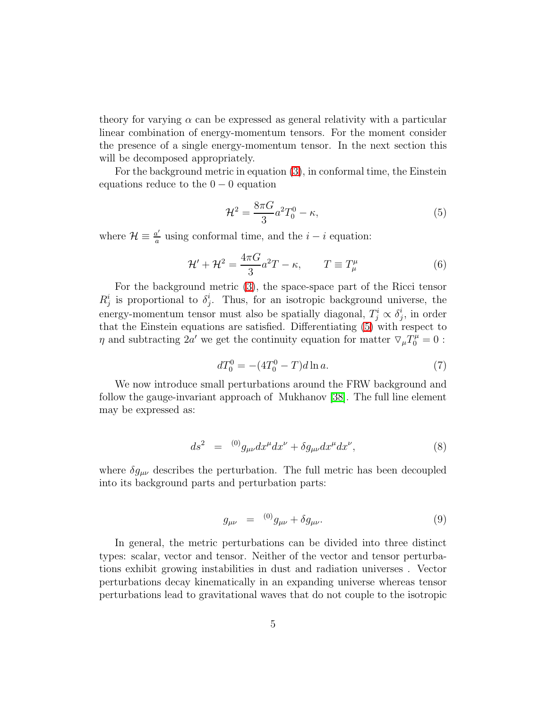theory for varying  $\alpha$  can be expressed as general relativity with a particular linear combination of energy-momentum tensors. For the moment consider the presence of a single energy-momentum tensor. In the next section this will be decomposed appropriately.

For the background metric in equation [\(3\)](#page-3-0), in conformal time, the Einstein equations reduce to the  $0 - 0$  equation

<span id="page-4-0"></span>
$$
\mathcal{H}^2 = \frac{8\pi G}{3}a^2 T_0^0 - \kappa,\tag{5}
$$

where  $\mathcal{H} \equiv \frac{a'}{a}$  $\frac{a'}{a}$  using conformal time, and the  $i - i$  equation:

$$
\mathcal{H}' + \mathcal{H}^2 = \frac{4\pi G}{3}a^2T - \kappa, \qquad T \equiv T^\mu_\mu \tag{6}
$$

For the background metric [\(3\)](#page-3-0), the space-space part of the Ricci tensor  $R_j^i$  is proportional to  $\delta_j^i$  $i_j^i$ . Thus, for an isotropic background universe, the energy-momentum tensor must also be spatially diagonal,  $T_j^i \propto \delta_j^i$  $j$ , in order that the Einstein equations are satisfied. Differentiating [\(5\)](#page-4-0) with respect to  $\eta$  and subtracting 2a' we get the continuity equation for matter  $\nabla_{\mu}T_{0}^{\mu}=0$ :

$$
dT_0^0 = -(4T_0^0 - T)d\ln a. \tag{7}
$$

We now introduce small perturbations around the FRW background and follow the gauge-invariant approach of Mukhanov [\[38\]](#page-27-12). The full line element may be expressed as:

$$
ds^{2} = {}^{(0)}g_{\mu\nu}dx^{\mu}dx^{\nu} + \delta g_{\mu\nu}dx^{\mu}dx^{\nu}, \qquad (8)
$$

where  $\delta g_{\mu\nu}$  describes the perturbation. The full metric has been decoupled into its background parts and perturbation parts:

<span id="page-4-1"></span>
$$
g_{\mu\nu} = {}^{(0)}g_{\mu\nu} + \delta g_{\mu\nu}.
$$
 (9)

In general, the metric perturbations can be divided into three distinct types: scalar, vector and tensor. Neither of the vector and tensor perturbations exhibit growing instabilities in dust and radiation universes . Vector perturbations decay kinematically in an expanding universe whereas tensor perturbations lead to gravitational waves that do not couple to the isotropic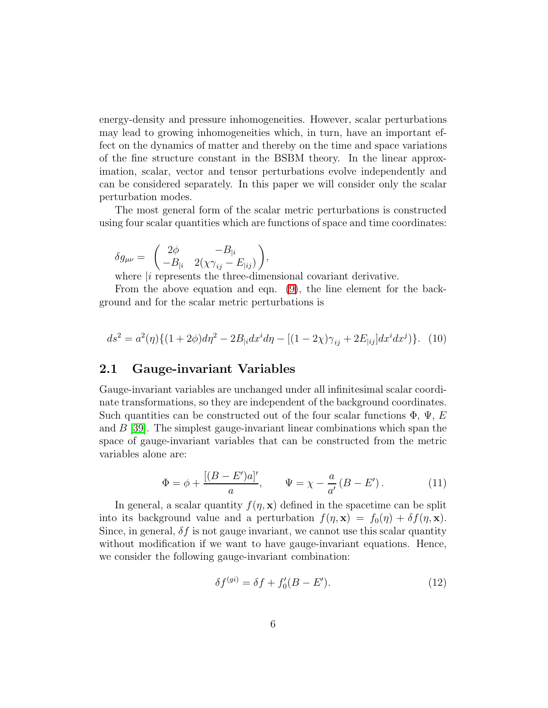energy-density and pressure inhomogeneities. However, scalar perturbations may lead to growing inhomogeneities which, in turn, have an important effect on the dynamics of matter and thereby on the time and space variations of the fine structure constant in the BSBM theory. In the linear approximation, scalar, vector and tensor perturbations evolve independently and can be considered separately. In this paper we will consider only the scalar perturbation modes.

The most general form of the scalar metric perturbations is constructed using four scalar quantities which are functions of space and time coordinates:

$$
\delta g_{\mu\nu} = \begin{pmatrix} 2\phi & -B_{|i} \\ -B_{|i} & 2(\chi \gamma_{ij} - E_{|ij}) \end{pmatrix},
$$

where  $|i\rangle$  represents the three-dimensional covariant derivative.

From the above equation and eqn. [\(9\)](#page-4-1), the line element for the background and for the scalar metric perturbations is

<span id="page-5-0"></span>
$$
ds^{2} = a^{2}(\eta)\{(1+2\phi)d\eta^{2} - 2B_{|i}dx^{i}d\eta - [(1-2\chi)\gamma_{ij} + 2E_{|ij}]dx^{i}dx^{j})\}.
$$
 (10)

### 2.1 Gauge-invariant Variables

Gauge-invariant variables are unchanged under all infinitesimal scalar coordinate transformations, so they are independent of the background coordinates. Such quantities can be constructed out of the four scalar functions  $\Phi$ ,  $\Psi$ , E and  $B$  [\[39\]](#page-27-13). The simplest gauge-invariant linear combinations which span the space of gauge-invariant variables that can be constructed from the metric variables alone are:

$$
\Phi = \phi + \frac{[(B - E')a]'}{a}, \qquad \Psi = \chi - \frac{a}{a'}(B - E'). \tag{11}
$$

<span id="page-5-1"></span>In general, a scalar quantity  $f(\eta, \mathbf{x})$  defined in the spacetime can be split into its background value and a perturbation  $f(\eta, \mathbf{x}) = f_0(\eta) + \delta f(\eta, \mathbf{x})$ . Since, in general,  $\delta f$  is not gauge invariant, we cannot use this scalar quantity without modification if we want to have gauge-invariant equations. Hence, we consider the following gauge-invariant combination:

$$
\delta f^{(gi)} = \delta f + f_0'(B - E'). \tag{12}
$$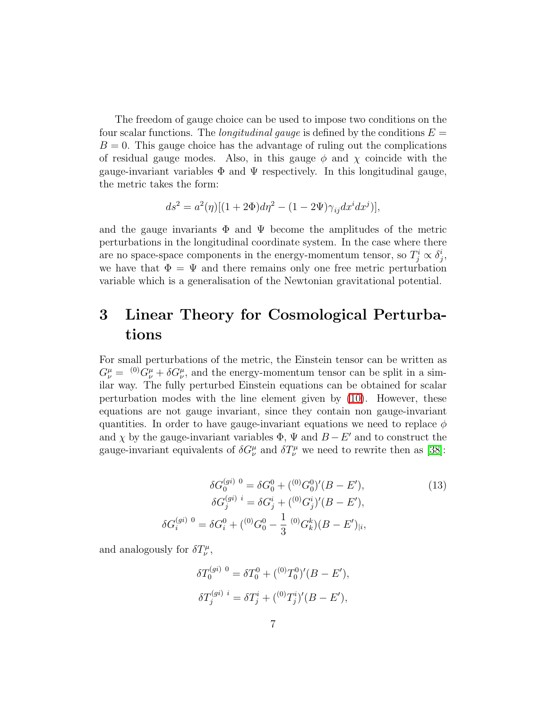The freedom of gauge choice can be used to impose two conditions on the four scalar functions. The *longitudinal gauge* is defined by the conditions  $E =$  $B = 0$ . This gauge choice has the advantage of ruling out the complications of residual gauge modes. Also, in this gauge  $\phi$  and  $\chi$  coincide with the gauge-invariant variables  $\Phi$  and  $\Psi$  respectively. In this longitudinal gauge, the metric takes the form:

$$
ds^{2} = a^{2}(\eta)[(1+2\Phi)d\eta^{2} - (1-2\Psi)\gamma_{ij}dx^{i}dx^{j})],
$$

and the gauge invariants  $\Phi$  and  $\Psi$  become the amplitudes of the metric perturbations in the longitudinal coordinate system. In the case where there are no space-space components in the energy-momentum tensor, so  $T_j^i \propto \delta_j^i$  $_{j}^{\imath},$ we have that  $\Phi = \Psi$  and there remains only one free metric perturbation variable which is a generalisation of the Newtonian gravitational potential.

## 3 Linear Theory for Cosmological Perturbations

For small perturbations of the metric, the Einstein tensor can be written as  $G^{\mu}_{\nu} = {}^{(0)}G^{\mu}_{\nu} + \delta G^{\mu}_{\nu}$ , and the energy-momentum tensor can be split in a similar way. The fully perturbed Einstein equations can be obtained for scalar perturbation modes with the line element given by [\(10\)](#page-5-0). However, these equations are not gauge invariant, since they contain non gauge-invariant quantities. In order to have gauge-invariant equations we need to replace  $\phi$ and  $\chi$  by the gauge-invariant variables  $\Phi$ ,  $\Psi$  and  $B - E'$  and to construct the gauge-invariant equivalents of  $\delta G^{\mu}_{\nu}$  and  $\delta T^{\mu}_{\nu}$  we need to rewrite then as [\[38\]](#page-27-12):

$$
\delta G_0^{(gi)} \,^0 = \delta G_0^0 + \frac{(\binom{0}{0} G_0^0)' (B - E')}{\delta G_j^{(gi)} \,^i} = \delta G_j^i + \frac{(\binom{0}{0} G_j^i)' (B - E')}{\delta G_i^{(gi)} \,^0} = \delta G_i^0 + \frac{(\binom{0}{0} G_0^0 - \frac{1}{3} \binom{0}{0} G_k^k (B - E')}{\delta G_i^{(g)}}.
$$
\n(13)

and analogously for  $\delta T^{\mu}_{\nu}$ ,

$$
\delta T_0^{(gi)} \,^0 = \delta T_0^0 + \binom{(0)}{T_0^0}' (B - E'),
$$
  

$$
\delta T_j^{(gi)} \,^i = \delta T_j^i + \binom{(0)}{T_j^i}' (B - E'),
$$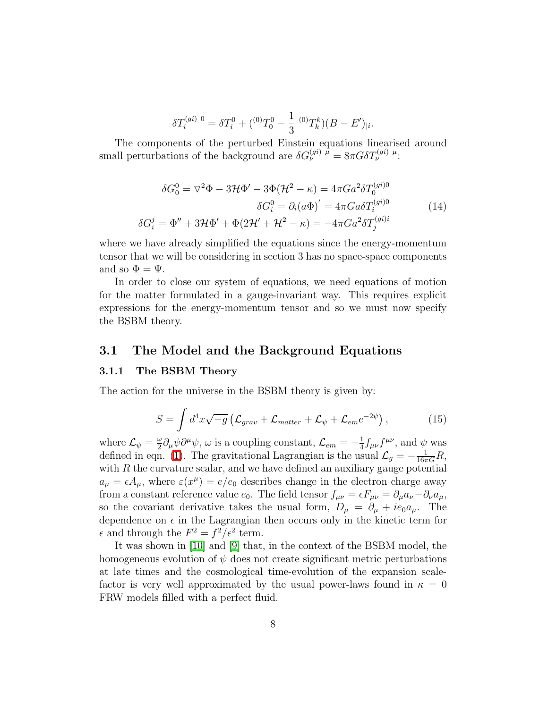$$
\delta T_i^{(gi) 0} = \delta T_i^0 + \binom{(0)}{T_0^0} - \frac{1}{3} (0) T_k^k (B - E')_{|i}
$$

The components of the perturbed Einstein equations linearised around small perturbations of the background are  $\delta G_{\nu}^{(gi) \mu} = 8\pi G \delta T_{\nu}^{(gi) \mu}$ :

<span id="page-7-1"></span>
$$
\delta G_0^0 = \nabla^2 \Phi - 3\mathcal{H}\Phi' - 3\Phi(\mathcal{H}^2 - \kappa) = 4\pi G a^2 \delta T_0^{(gi)0}
$$

$$
\delta G_i^0 = \partial_i (a\Phi)' = 4\pi G a \delta T_i^{(gi)0}
$$

$$
\delta G_i^j = \Phi'' + 3\mathcal{H}\Phi' + \Phi(2\mathcal{H}' + \mathcal{H}^2 - \kappa) = -4\pi G a^2 \delta T_j^{(gi)i}
$$
(14)

.

where we have already simplified the equations since the energy-momentum tensor that we will be considering in section 3 has no space-space components and so  $\Phi = \Psi$ .

In order to close our system of equations, we need equations of motion for the matter formulated in a gauge-invariant way. This requires explicit expressions for the energy-momentum tensor and so we must now specify the BSBM theory.

### 3.1 The Model and the Background Equations

#### 3.1.1 The BSBM Theory

<span id="page-7-0"></span>The action for the universe in the BSBM theory is given by:

$$
S = \int d^4x \sqrt{-g} \left( \mathcal{L}_{grav} + \mathcal{L}_{matter} + \mathcal{L}_{\psi} + \mathcal{L}_{em} e^{-2\psi} \right), \qquad (15)
$$

where  $\mathcal{L}_{\psi} = \frac{\omega}{2}$  $\frac{\omega}{2}\partial_{\mu}\psi\partial^{\mu}\psi, \omega \text{ is a coupling constant, } \mathcal{L}_{em} = -\frac{1}{4}$  $\frac{1}{4} f_{\mu\nu} f^{\mu\nu}$ , and  $\psi$  was defined in eqn. [\(1\)](#page-2-0). The gravitational Lagrangian is the usual  $\mathcal{L}_g = -\frac{1}{16\pi G}R$ , with  $R$  the curvature scalar, and we have defined an auxiliary gauge potential  $a_{\mu} = \epsilon A_{\mu}$ , where  $\varepsilon(x^{\mu}) = e/e_0$  describes change in the electron charge away from a constant reference value  $e_0$ . The field tensor  $f_{\mu\nu} = \epsilon F_{\mu\nu} = \partial_{\mu} a_{\nu} - \partial_{\nu} a_{\mu}$ , so the covariant derivative takes the usual form,  $D_{\mu} = \partial_{\mu} + ie_0 a_{\mu}$ . The dependence on  $\epsilon$  in the Lagrangian then occurs only in the kinetic term for  $\epsilon$  and through the  $F^2 = f^2/\epsilon^2$  term.

It was shown in [\[10\]](#page-26-2) and [\[9\]](#page-26-1) that, in the context of the BSBM model, the homogeneous evolution of  $\psi$  does not create significant metric perturbations at late times and the cosmological time-evolution of the expansion scalefactor is very well approximated by the usual power-laws found in  $\kappa = 0$ FRW models filled with a perfect fluid.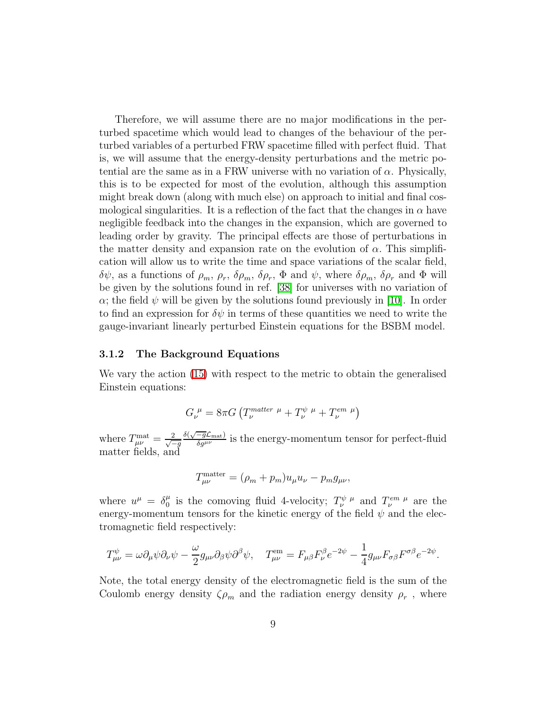Therefore, we will assume there are no major modifications in the perturbed spacetime which would lead to changes of the behaviour of the perturbed variables of a perturbed FRW spacetime filled with perfect fluid. That is, we will assume that the energy-density perturbations and the metric potential are the same as in a FRW universe with no variation of  $\alpha$ . Physically, this is to be expected for most of the evolution, although this assumption might break down (along with much else) on approach to initial and final cosmological singularities. It is a reflection of the fact that the changes in  $\alpha$  have negligible feedback into the changes in the expansion, which are governed to leading order by gravity. The principal effects are those of perturbations in the matter density and expansion rate on the evolution of  $\alpha$ . This simplification will allow us to write the time and space variations of the scalar field,  $\delta\psi$ , as a functions of  $\rho_m$ ,  $\rho_r$ ,  $\delta\rho_m$ ,  $\delta\rho_r$ ,  $\Phi$  and  $\psi$ , where  $\delta\rho_m$ ,  $\delta\rho_r$  and  $\Phi$  will be given by the solutions found in ref. [\[38\]](#page-27-12) for universes with no variation of  $\alpha$ ; the field  $\psi$  will be given by the solutions found previously in [\[10\]](#page-26-2). In order to find an expression for  $\delta\psi$  in terms of these quantities we need to write the gauge-invariant linearly perturbed Einstein equations for the BSBM model.

#### 3.1.2 The Background Equations

We vary the action [\(15\)](#page-7-0) with respect to the metric to obtain the generalised Einstein equations:

$$
G_{\nu}^{\ \mu} = 8\pi G \left( T_{\nu}^{matter \ \mu} + T_{\nu}^{\psi \ \mu} + T_{\nu}^{em \ \mu} \right)
$$

where  $T_{\mu\nu}^{\text{mat}} = \frac{2}{\sqrt{2}}$  $-q$  $\frac{\delta(\sqrt{-g}\mathcal{L}_{\text{mat}})}{\delta g^{\mu\nu}}$  is the energy-momentum tensor for perfect-fluid matter fields, and

$$
T^{\text{matter}}_{\mu\nu} = (\rho_m + p_m)u_\mu u_\nu - p_m g_{\mu\nu},
$$

where  $u^{\mu} = \delta^{\mu}_0$  $\mu_0^{\mu}$  is the comoving fluid 4-velocity;  $T^{\psi \mu}_{\nu}$  and  $T^{\ell m \mu}_{\nu}$  are the energy-momentum tensors for the kinetic energy of the field  $\psi$  and the electromagnetic field respectively:

$$
T^{\psi}_{\mu\nu} = \omega \partial_{\mu}\psi \partial_{\nu}\psi - \frac{\omega}{2}g_{\mu\nu}\partial_{\beta}\psi \partial^{\beta}\psi, \quad T^{\text{em}}_{\mu\nu} = F_{\mu\beta}F^{\beta}_{\nu}e^{-2\psi} - \frac{1}{4}g_{\mu\nu}F_{\sigma\beta}F^{\sigma\beta}e^{-2\psi}.
$$

Note, the total energy density of the electromagnetic field is the sum of the Coulomb energy density  $\zeta_{\rho_m}$  and the radiation energy density  $\rho_r$ , where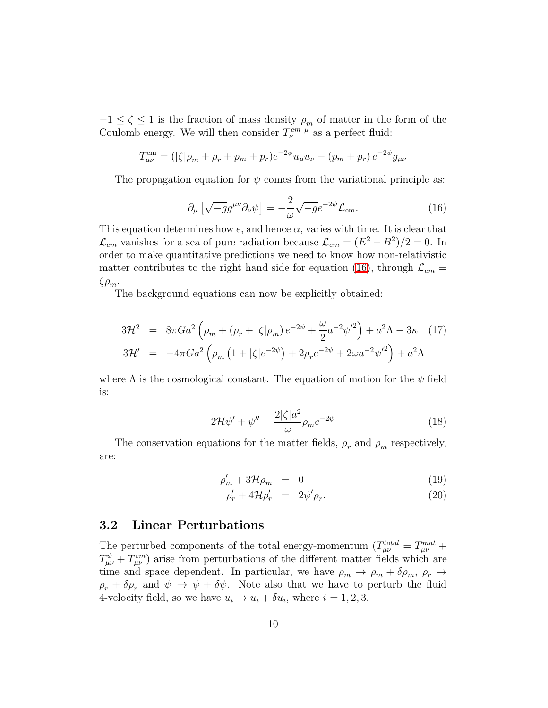$-1 \leq \zeta \leq 1$  is the fraction of mass density  $\rho_m$  of matter in the form of the Coulomb energy. We will then consider  $T_{\nu}^{em \mu}$  as a perfect fluid:

$$
T_{\mu\nu}^{\text{em}} = (|\zeta|\rho_m + \rho_r + p_m + p_r)e^{-2\psi}u_\mu u_\nu - (p_m + p_r)e^{-2\psi}g_{\mu\nu}
$$

<span id="page-9-0"></span>The propagation equation for  $\psi$  comes from the variational principle as:

$$
\partial_{\mu} \left[ \sqrt{-g} g^{\mu \nu} \partial_{\nu} \psi \right] = -\frac{2}{\omega} \sqrt{-g} e^{-2\psi} \mathcal{L}_{em}.
$$
 (16)

This equation determines how  $e$ , and hence  $\alpha$ , varies with time. It is clear that  $\mathcal{L}_{em}$  vanishes for a sea of pure radiation because  $\mathcal{L}_{em} = (E^2 - B^2)/2 = 0$ . In order to make quantitative predictions we need to know how non-relativistic matter contributes to the right hand side for equation [\(16\)](#page-9-0), through  $\mathcal{L}_{em}$  =  $\zeta \rho_m$ .

The background equations can now be explicitly obtained:

<span id="page-9-1"></span>
$$
3\mathcal{H}^2 = 8\pi Ga^2 \left( \rho_m + (\rho_r + |\zeta|\rho_m) e^{-2\psi} + \frac{\omega}{2} a^{-2} {\psi'}^2 \right) + a^2 \Lambda - 3\kappa \quad (17)
$$
  

$$
3\mathcal{H}' = -4\pi Ga^2 \left( \rho_m \left( 1 + |\zeta| e^{-2\psi} \right) + 2\rho_r e^{-2\psi} + 2\omega a^{-2} {\psi'}^2 \right) + a^2 \Lambda
$$

<span id="page-9-2"></span>where  $\Lambda$  is the cosmological constant. The equation of motion for the  $\psi$  field is:

$$
2\mathcal{H}\psi' + \psi'' = \frac{2|\zeta|a^2}{\omega}\rho_m e^{-2\psi}
$$
\n(18)

The conservation equations for the matter fields,  $\rho_r$  and  $\rho_m$  respectively, are:

$$
\rho_m' + 3\mathcal{H}\rho_m = 0 \tag{19}
$$

$$
\rho'_r + 4\mathcal{H}\rho'_r = 2\psi'\rho_r. \tag{20}
$$

### 3.2 Linear Perturbations

The perturbed components of the total energy-momentum  $(T_{\mu\nu}^{total} = T_{\mu\nu}^{mat} +$  $T^{\psi}_{\mu\nu} + T^{em}_{\mu\nu}$  arise from perturbations of the different matter fields which are time and space dependent. In particular, we have  $\rho_m \to \rho_m + \delta \rho_m$ ,  $\rho_r \to$  $\rho_r + \delta \rho_r$  and  $\psi \to \psi + \delta \psi$ . Note also that we have to perturb the fluid 4-velocity field, so we have  $u_i \to u_i + \delta u_i$ , where  $i = 1, 2, 3$ .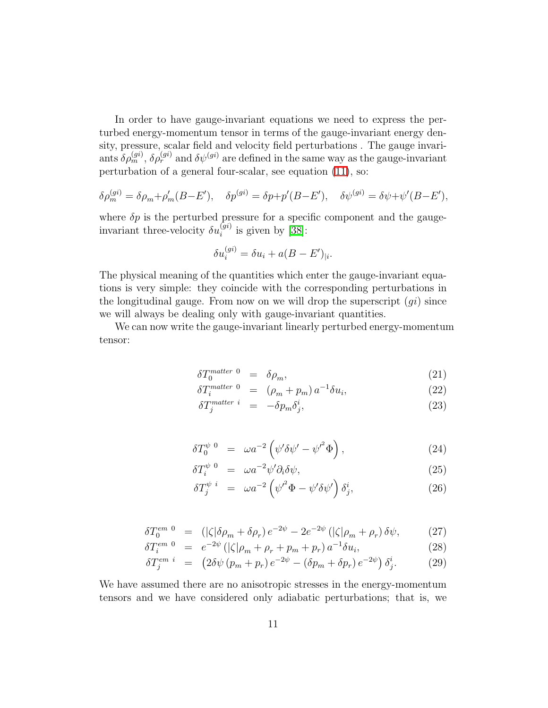In order to have gauge-invariant equations we need to express the perturbed energy-momentum tensor in terms of the gauge-invariant energy density, pressure, scalar field and velocity field perturbations . The gauge invariants  $\delta \rho_m^{(gi)}$ ,  $\delta \rho_r^{(gi)}$  and  $\delta \psi^{(gi)}$  are defined in the same way as the gauge-invariant perturbation of a general four-scalar, see equation [\(11\)](#page-5-1), so:

$$
\delta \rho_m^{(gi)} = \delta \rho_m + \rho_m'(B - E'), \quad \delta p^{(gi)} = \delta p + p'(B - E'), \quad \delta \psi^{(gi)} = \delta \psi + \psi'(B - E'),
$$

where  $\delta p$  is the perturbed pressure for a specific component and the gaugeinvariant three-velocity  $\delta u_i^{(gi)}$  is given by [\[38\]](#page-27-12):

$$
\delta u_i^{(gi)} = \delta u_i + a(B - E')_{|i}.
$$

The physical meaning of the quantities which enter the gauge-invariant equations is very simple: they coincide with the corresponding perturbations in the longitudinal gauge. From now on we will drop the superscript  $(qi)$  since we will always be dealing only with gauge-invariant quantities.

<span id="page-10-0"></span>We can now write the gauge-invariant linearly perturbed energy-momentum tensor:

$$
\delta T_0^{matter \ 0} = \delta \rho_m, \tag{21}
$$

$$
\delta T_i^{matter \ 0} = (\rho_m + p_m) a^{-1} \delta u_i, \qquad (22)
$$

$$
\delta T_j^{matter~i} = -\delta p_m \delta_j^i, \tag{23}
$$

$$
\delta T_0^{\psi}{}^0 = \omega a^{-2} \left( \psi' \delta \psi' - {\psi'}^2 \Phi \right), \tag{24}
$$

$$
\delta T_i^{\psi \ 0} = \omega a^{-2} \psi' \partial_i \delta \psi, \tag{25}
$$

$$
\delta T_j^{\psi \ i} = \omega a^{-2} \left( \psi'^2 \Phi - \psi' \delta \psi' \right) \delta_j^i, \tag{26}
$$

$$
\delta T_0^{em \ 0} = (|\zeta|\delta\rho_m + \delta\rho_r) e^{-2\psi} - 2e^{-2\psi} (|\zeta|\rho_m + \rho_r) \delta\psi, \tag{27}
$$

$$
\delta T_i^{em \ 0} = e^{-2\psi} \left( |\zeta| \rho_m + \rho_r + p_m + p_r \right) a^{-1} \delta u_i, \tag{28}
$$

$$
\delta T_j^{em~i} = (2\delta\psi (p_m + p_r) e^{-2\psi} - (\delta p_m + \delta p_r) e^{-2\psi}) \delta_j^i. \tag{29}
$$

<span id="page-10-1"></span>We have assumed there are no anisotropic stresses in the energy-momentum tensors and we have considered only adiabatic perturbations; that is, we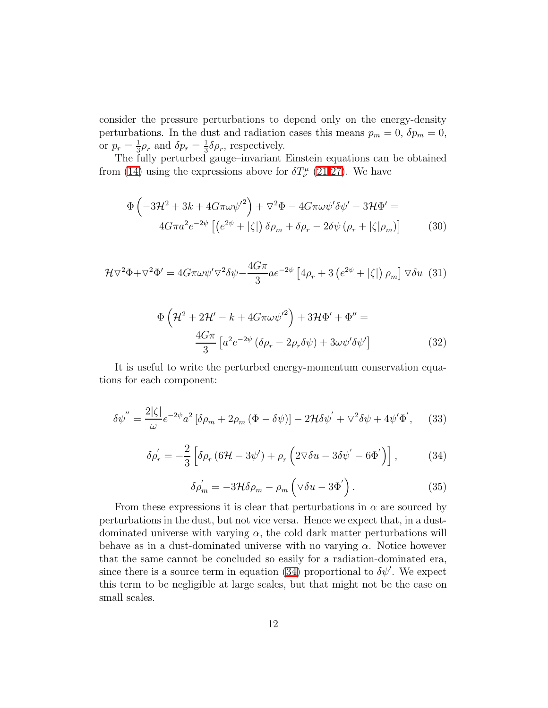consider the pressure perturbations to depend only on the energy-density perturbations. In the dust and radiation cases this means  $p_m = 0$ ,  $\delta p_m = 0$ , or  $p_r = \frac{1}{3}$  $\frac{1}{3}\rho_r$  and  $\delta p_r = \frac{1}{3}$  $\frac{1}{3}\delta\rho_r$ , respectively.

<span id="page-11-1"></span>The fully perturbed gauge–invariant Einstein equations can be obtained from [\(14\)](#page-7-1) using the expressions above for  $\delta T^{\mu}_{\nu}$  [\(21-](#page-10-0)[27\)](#page-10-1). We have

$$
\Phi\left(-3\mathcal{H}^2 + 3k + 4G\pi\omega\psi'^2\right) + \nabla^2\Phi - 4G\pi\omega\psi'\delta\psi' - 3\mathcal{H}\Phi' =
$$
  

$$
4G\pi a^2 e^{-2\psi} \left[ \left(e^{2\psi} + |\zeta|\right) \delta\rho_m + \delta\rho_r - 2\delta\psi\left(\rho_r + |\zeta|\rho_m\right) \right] \tag{30}
$$

<span id="page-11-3"></span><span id="page-11-2"></span>
$$
\mathcal{H}\nabla^2\Phi + \nabla^2\Phi' = 4G\pi\omega\psi'\nabla^2\delta\psi - \frac{4G\pi}{3}ae^{-2\psi}\left[4\rho_r + 3\left(e^{2\psi} + |\zeta|\right)\rho_m\right]\nabla\delta u \tag{31}
$$

$$
\Phi\left(\mathcal{H}^2 + 2\mathcal{H}' - k + 4G\pi\omega\psi'^2\right) + 3\mathcal{H}\Phi' + \Phi'' =
$$
  

$$
\frac{4G\pi}{3} \left[a^2 e^{-2\psi} \left(\delta\rho_r - 2\rho_r \delta\psi\right) + 3\omega\psi' \delta\psi'\right]
$$
(32)

It is useful to write the perturbed energy-momentum conservation equations for each component:

<span id="page-11-0"></span>
$$
\delta\psi'' = \frac{2|\zeta|}{\omega}e^{-2\psi}a^2\left[\delta\rho_m + 2\rho_m\left(\Phi - \delta\psi\right)\right] - 2\mathcal{H}\delta\psi' + \nabla^2\delta\psi + 4\psi'\Phi',\tag{33}
$$

$$
\delta \rho'_{r} = -\frac{2}{3} \left[ \delta \rho_{r} \left( 6\mathcal{H} - 3\psi' \right) + \rho_{r} \left( 2 \nabla \delta u - 3 \delta \psi' - 6\Phi' \right) \right],\tag{34}
$$

$$
\delta \rho'_{m} = -3\mathcal{H}\delta \rho_{m} - \rho_{m} \left( \nabla \delta u - 3\Phi' \right). \tag{35}
$$

From these expressions it is clear that perturbations in  $\alpha$  are sourced by perturbations in the dust, but not vice versa. Hence we expect that, in a dustdominated universe with varying  $\alpha$ , the cold dark matter perturbations will behave as in a dust-dominated universe with no varying  $\alpha$ . Notice however that the same cannot be concluded so easily for a radiation-dominated era, since there is a source term in equation [\(34\)](#page-11-0) proportional to  $\delta\psi'$ . We expect this term to be negligible at large scales, but that might not be the case on small scales.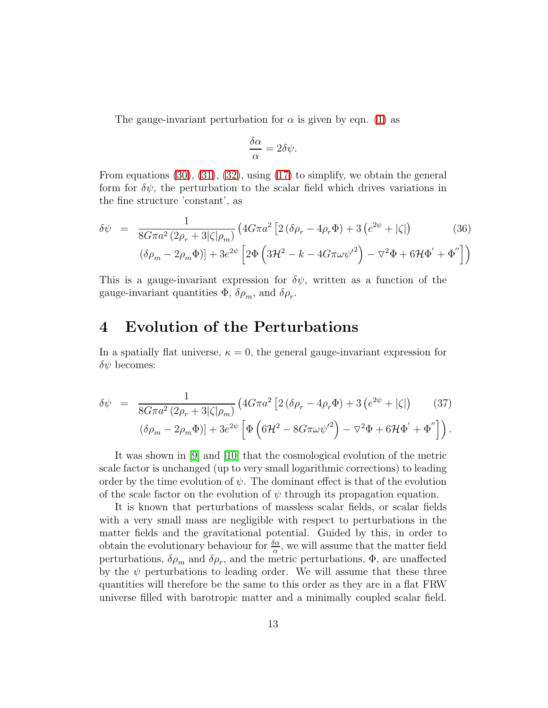The gauge-invariant perturbation for  $\alpha$  is given by eqn. [\(1\)](#page-2-0) as

$$
\frac{\delta \alpha}{\alpha} = 2\delta \psi.
$$

From equations  $(30)$ ,  $(31)$ ,  $(32)$ , using  $(17)$  to simplify, we obtain the general form for  $\delta\psi$ , the perturbation to the scalar field which drives variations in the fine structure 'constant', as

$$
\delta\psi = \frac{1}{8G\pi a^2 (2\rho_r + 3|\zeta|\rho_m)} (4G\pi a^2 [2(\delta\rho_r - 4\rho_r \Phi) + 3(e^{2\psi} + |\zeta|)) \tag{36}
$$

$$
(\delta\rho_m - 2\rho_m \Phi)] + 3e^{2\psi} [2\Phi (3\mathcal{H}^2 - k - 4G\pi\omega\psi'^2) - \nabla^2\Phi + 6\mathcal{H}\Phi' + \Phi'']
$$

This is a gauge-invariant expression for  $\delta\psi$ , written as a function of the gauge-invariant quantities  $\Phi$ ,  $\delta \rho_m$ , and  $\delta \rho_r$ .

## 4 Evolution of the Perturbations

In a spatially flat universe,  $\kappa = 0$ , the general gauge-invariant expression for  $\delta\psi$  becomes:

<span id="page-12-0"></span>
$$
\delta\psi = \frac{1}{8G\pi a^2 (2\rho_r + 3|\zeta|\rho_m)} (4G\pi a^2 [2(\delta\rho_r - 4\rho_r \Phi) + 3(e^{2\psi} + |\zeta|) \qquad (37)
$$

$$
(\delta\rho_m - 2\rho_m \Phi)] + 3e^{2\psi} \left[ \Phi \left( 6\mathcal{H}^2 - 8G\pi\omega\psi'^2 \right) - \nabla^2 \Phi + 6\mathcal{H}\Phi' + \Phi'' \right] \right).
$$

It was shown in [\[9\]](#page-26-1) and [\[10\]](#page-26-2) that the cosmological evolution of the metric scale factor is unchanged (up to very small logarithmic corrections) to leading order by the time evolution of  $\psi$ . The dominant effect is that of the evolution of the scale factor on the evolution of  $\psi$  through its propagation equation.

It is known that perturbations of massless scalar fields, or scalar fields with a very small mass are negligible with respect to perturbations in the matter fields and the gravitational potential. Guided by this, in order to obtain the evolutionary behaviour for  $\frac{\delta \alpha}{\alpha}$ , we will assume that the matter field perturbations,  $\delta \rho_m$  and  $\delta \rho_r$ , and the metric perturbations,  $\Phi$ , are unaffected by the  $\psi$  perturbations to leading order. We will assume that these three quantities will therefore be the same to this order as they are in a flat FRW universe filled with barotropic matter and a minimally coupled scalar field.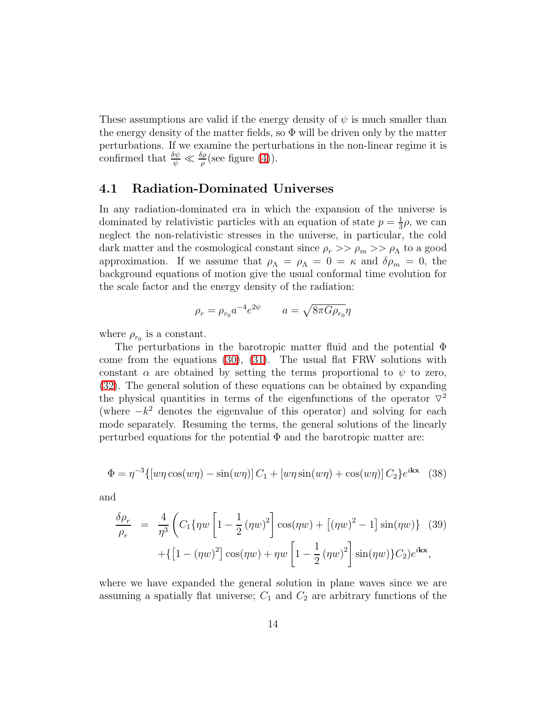These assumptions are valid if the energy density of  $\psi$  is much smaller than the energy density of the matter fields, so  $\Phi$  will be driven only by the matter perturbations. If we examine the perturbations in the non-linear regime it is confirmed that  $\frac{\delta \psi}{\psi} \ll \frac{\delta \rho}{\rho}$  (see figure [\(4\)](#page-22-0)).

### 4.1 Radiation-Dominated Universes

In any radiation-dominated era in which the expansion of the universe is dominated by relativistic particles with an equation of state  $p=\frac{1}{3}$  $\frac{1}{3}\rho$ , we can neglect the non-relativistic stresses in the universe, in particular, the cold dark matter and the cosmological constant since  $\rho_r \gg \rho_m \gg \rho_\Lambda$  to a good approximation. If we assume that  $\rho_{\Lambda} = \rho_{\Lambda} = 0 = \kappa$  and  $\delta \rho_m = 0$ , the background equations of motion give the usual conformal time evolution for the scale factor and the energy density of the radiation:

$$
\rho_r = \rho_{r_0} a^{-4} e^{2\psi} \qquad a = \sqrt{8\pi G \rho_{r_0}} \eta
$$

where  $\rho_{r_0}$  is a constant.

The perturbations in the barotropic matter fluid and the potential Φ come from the equations [\(30\)](#page-11-1), [\(31\)](#page-11-2). The usual flat FRW solutions with constant  $\alpha$  are obtained by setting the terms proportional to  $\psi$  to zero, [\(32\)](#page-11-3). The general solution of these equations can be obtained by expanding the physical quantities in terms of the eigenfunctions of the operator  $\nabla^2$ (where  $-k^2$  denotes the eigenvalue of this operator) and solving for each mode separately. Resuming the terms, the general solutions of the linearly perturbed equations for the potential  $\Phi$  and the barotropic matter are:

$$
\Phi = \eta^{-3} \{ \left[ w\eta \cos(w\eta) - \sin(w\eta) \right] C_1 + \left[ w\eta \sin(w\eta) + \cos(w\eta) \right] C_2 \} e^{i\mathbf{kx}} \tag{38}
$$

and

$$
\frac{\delta \rho_r}{\rho_r} = \frac{4}{\eta^3} \left( C_1 \{ \eta w \left[ 1 - \frac{1}{2} (\eta w)^2 \right] \cos(\eta w) + \left[ (\eta w)^2 - 1 \right] \sin(\eta w) \} \right) (39)
$$

$$
+ \{ \left[ 1 - (\eta w)^2 \right] \cos(\eta w) + \eta w \left[ 1 - \frac{1}{2} (\eta w)^2 \right] \sin(\eta w) \} C_2 e^{i \mathbf{k} \cdot \mathbf{x}},
$$

where we have expanded the general solution in plane waves since we are assuming a spatially flat universe;  $C_1$  and  $C_2$  are arbitrary functions of the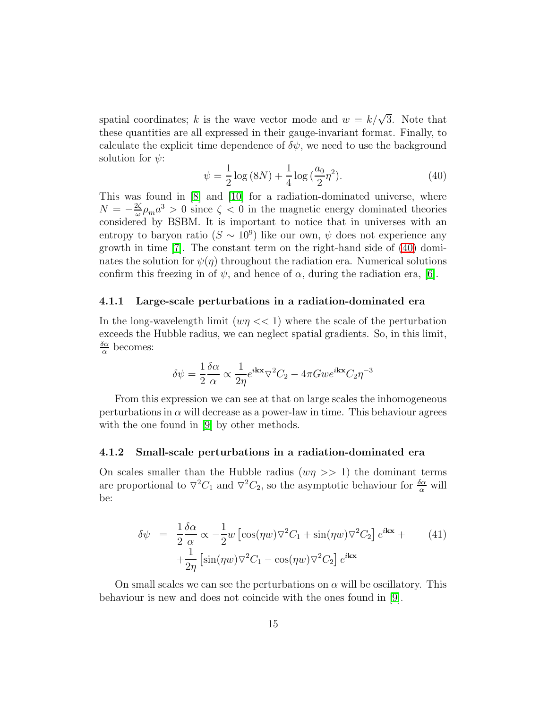spatial coordinates; k is the wave vector mode and  $w = k/\sqrt{3}$ . Note that these quantities are all expressed in their gauge-invariant format. Finally, to calculate the explicit time dependence of  $\delta\psi$ , we need to use the background solution for  $\psi$ :

$$
\psi = \frac{1}{2}\log(8N) + \frac{1}{4}\log(\frac{a_0}{2}\eta^2). \tag{40}
$$

<span id="page-14-0"></span>This was found in [\[8\]](#page-26-0) and [\[10\]](#page-26-2) for a radiation-dominated universe, where  $N = -\frac{2\zeta}{\omega}$  $\frac{2\zeta}{\omega}\rho_m a^3 > 0$  since  $\zeta < 0$  in the magnetic energy dominated theories considered by BSBM. It is important to notice that in universes with an entropy to baryon ratio  $(S \sim 10^9)$  like our own,  $\psi$  does not experience any growth in time [\[7\]](#page-25-6). The constant term on the right-hand side of [\(40\)](#page-14-0) dominates the solution for  $\psi(\eta)$  throughout the radiation era. Numerical solutions confirm this freezing in of  $\psi$ , and hence of  $\alpha$ , during the radiation era, [\[6\]](#page-25-5).

#### 4.1.1 Large-scale perturbations in a radiation-dominated era

In the long-wavelength limit  $(w\eta << 1)$  where the scale of the perturbation exceeds the Hubble radius, we can neglect spatial gradients. So, in this limit,  $\delta \alpha$  $\frac{\partial \alpha}{\partial \alpha}$  becomes:

$$
\delta \psi = \frac{1}{2} \frac{\delta \alpha}{\alpha} \propto \frac{1}{2 \eta} e^{i \mathbf{k} \mathbf{x}} \nabla^2 C_2 - 4 \pi G w e^{i \mathbf{k} \mathbf{x}} C_2 \eta^{-3}
$$

From this expression we can see at that on large scales the inhomogeneous perturbations in  $\alpha$  will decrease as a power-law in time. This behaviour agrees with the one found in [\[9\]](#page-26-1) by other methods.

#### 4.1.2 Small-scale perturbations in a radiation-dominated era

On scales smaller than the Hubble radius  $(w\eta >> 1)$  the dominant terms are proportional to  $\nabla^2 C_1$  and  $\nabla^2 C_2$ , so the asymptotic behaviour for  $\frac{\delta \alpha}{\alpha}$  will be:

$$
\delta\psi = \frac{1}{2}\frac{\delta\alpha}{\alpha} \propto -\frac{1}{2}w \left[ \cos(\eta w)\nabla^2 C_1 + \sin(\eta w)\nabla^2 C_2 \right] e^{i\mathbf{k}\mathbf{x}} +
$$
\n
$$
+ \frac{1}{2\eta} \left[ \sin(\eta w)\nabla^2 C_1 - \cos(\eta w)\nabla^2 C_2 \right] e^{i\mathbf{k}\mathbf{x}} \tag{41}
$$

On small scales we can see the perturbations on  $\alpha$  will be oscillatory. This behaviour is new and does not coincide with the ones found in [\[9\]](#page-26-1).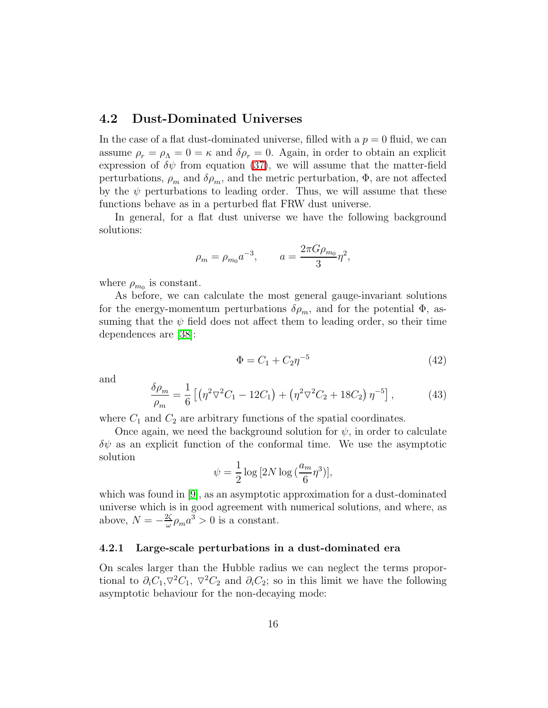### 4.2 Dust-Dominated Universes

In the case of a flat dust-dominated universe, filled with a  $p = 0$  fluid, we can assume  $\rho_r = \rho_\Lambda = 0 = \kappa$  and  $\delta \rho_r = 0$ . Again, in order to obtain an explicit expression of  $\delta\psi$  from equation [\(37\)](#page-12-0), we will assume that the matter-field perturbations,  $\rho_m$  and  $\delta \rho_m$ , and the metric perturbation,  $\Phi$ , are not affected by the  $\psi$  perturbations to leading order. Thus, we will assume that these functions behave as in a perturbed flat FRW dust universe.

In general, for a flat dust universe we have the following background solutions:

$$
\rho_m = \rho_{m_0} a^{-3}, \qquad a = \frac{2\pi G \rho_{m_0}}{3} \eta^2,
$$

where  $\rho_{m_0}$  is constant.

As before, we can calculate the most general gauge-invariant solutions for the energy-momentum perturbations  $\delta \rho_m$ , and for the potential  $\Phi$ , assuming that the  $\psi$  field does not affect them to leading order, so their time dependences are [\[38\]](#page-27-12):

$$
\Phi = C_1 + C_2 \eta^{-5} \tag{42}
$$

and

$$
\frac{\delta \rho_m}{\rho_m} = \frac{1}{6} \left[ \left( \eta^2 \nabla^2 C_1 - 12C_1 \right) + \left( \eta^2 \nabla^2 C_2 + 18C_2 \right) \eta^{-5} \right],\tag{43}
$$

where  $C_1$  and  $C_2$  are arbitrary functions of the spatial coordinates.

Once again, we need the background solution for  $\psi$ , in order to calculate  $\delta\psi$  as an explicit function of the conformal time. We use the asymptotic solution

$$
\psi = \frac{1}{2} \log \left[ 2N \log \left( \frac{a_m}{6} \eta^3 \right) \right],
$$

which was found in [\[9\]](#page-26-1), as an asymptotic approximation for a dust-dominated universe which is in good agreement with numerical solutions, and where, as above,  $N = -\frac{2\zeta}{\omega}$  $\frac{2\zeta}{\omega}\rho_m a^3 > 0$  is a constant.

#### 4.2.1 Large-scale perturbations in a dust-dominated era

On scales larger than the Hubble radius we can neglect the terms proportional to  $\partial_i C_1$ ,  $\nabla^2 C_1$ ,  $\nabla^2 C_2$  and  $\partial_i C_2$ ; so in this limit we have the following asymptotic behaviour for the non-decaying mode: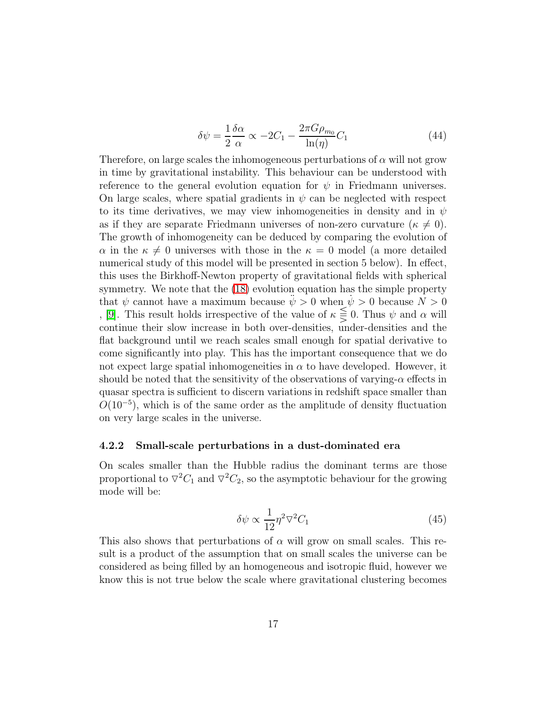$$
\delta\psi = \frac{1}{2}\frac{\delta\alpha}{\alpha} \propto -2C_1 - \frac{2\pi G\rho_{m_0}}{\ln(\eta)}C_1\tag{44}
$$

Therefore, on large scales the inhomogeneous perturbations of  $\alpha$  will not grow in time by gravitational instability. This behaviour can be understood with reference to the general evolution equation for  $\psi$  in Friedmann universes. On large scales, where spatial gradients in  $\psi$  can be neglected with respect to its time derivatives, we may view inhomogeneities in density and in  $\psi$ as if they are separate Friedmann universes of non-zero curvature ( $\kappa \neq 0$ ). The growth of inhomogeneity can be deduced by comparing the evolution of  $\alpha$  in the  $\kappa \neq 0$  universes with those in the  $\kappa = 0$  model (a more detailed numerical study of this model will be presented in section 5 below). In effect, this uses the Birkhoff-Newton property of gravitational fields with spherical symmetry. We note that the  $(18)$  evolution equation has the simple property that  $\psi$  cannot have a maximum because  $\ddot{\psi} > 0$  when  $\dot{\psi} > 0$  because  $N > 0$ , [\[9\]](#page-26-1). This result holds irrespective of the value of  $\kappa \leq 0$ . Thus  $\psi$  and  $\alpha$  will continue their slow increase in both over-densities, under-densities and the flat background until we reach scales small enough for spatial derivative to come significantly into play. This has the important consequence that we do not expect large spatial inhomogeneities in  $\alpha$  to have developed. However, it should be noted that the sensitivity of the observations of varying- $\alpha$  effects in quasar spectra is sufficient to discern variations in redshift space smaller than  $O(10^{-5})$ , which is of the same order as the amplitude of density fluctuation on very large scales in the universe.

#### 4.2.2 Small-scale perturbations in a dust-dominated era

On scales smaller than the Hubble radius the dominant terms are those proportional to  $\nabla^2 C_1$  and  $\nabla^2 C_2$ , so the asymptotic behaviour for the growing mode will be:

$$
\delta\psi \propto \frac{1}{12} \eta^2 \nabla^2 C_1 \tag{45}
$$

This also shows that perturbations of  $\alpha$  will grow on small scales. This result is a product of the assumption that on small scales the universe can be considered as being filled by an homogeneous and isotropic fluid, however we know this is not true below the scale where gravitational clustering becomes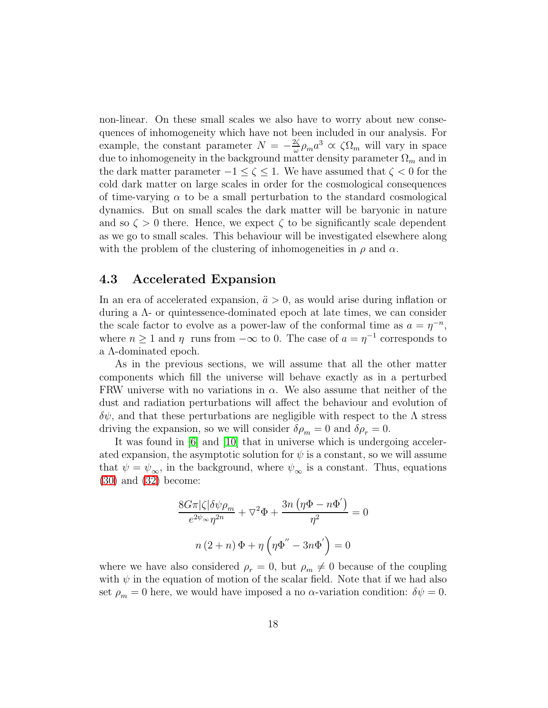non-linear. On these small scales we also have to worry about new consequences of inhomogeneity which have not been included in our analysis. For example, the constant parameter  $N = -\frac{2\zeta}{\omega}$  $\frac{2\zeta}{\omega}\rho_m a^3 \propto \zeta \Omega_m$  will vary in space due to inhomogeneity in the background matter density parameter  $\Omega_m$  and in the dark matter parameter  $-1 \leq \zeta \leq 1$ . We have assumed that  $\zeta < 0$  for the cold dark matter on large scales in order for the cosmological consequences of time-varying  $\alpha$  to be a small perturbation to the standard cosmological dynamics. But on small scales the dark matter will be baryonic in nature and so  $\zeta > 0$  there. Hence, we expect  $\zeta$  to be significantly scale dependent as we go to small scales. This behaviour will be investigated elsewhere along with the problem of the clustering of inhomogeneities in  $\rho$  and  $\alpha$ .

### 4.3 Accelerated Expansion

In an era of accelerated expansion,  $\ddot{a} > 0$ , as would arise during inflation or during a Λ- or quintessence-dominated epoch at late times, we can consider the scale factor to evolve as a power-law of the conformal time as  $a = \eta^{-n}$ , where  $n \ge 1$  and  $\eta$  runs from  $-\infty$  to 0. The case of  $a = \eta^{-1}$  corresponds to a Λ-dominated epoch.

As in the previous sections, we will assume that all the other matter components which fill the universe will behave exactly as in a perturbed FRW universe with no variations in  $\alpha$ . We also assume that neither of the dust and radiation perturbations will affect the behaviour and evolution of  $\delta\psi$ , and that these perturbations are negligible with respect to the  $\Lambda$  stress driving the expansion, so we will consider  $\delta \rho_m = 0$  and  $\delta \rho_r = 0$ .

It was found in [\[6\]](#page-25-5) and [\[10\]](#page-26-2) that in universe which is undergoing accelerated expansion, the asymptotic solution for  $\psi$  is a constant, so we will assume that  $\psi = \psi_{\infty}$ , in the background, where  $\psi_{\infty}$  is a constant. Thus, equations [\(30\)](#page-11-1) and [\(32\)](#page-11-3) become:

$$
\frac{8G\pi|\zeta|\delta\psi\rho_m}{e^{2\psi_{\infty}}\eta^{2n}} + \nabla^2\Phi + \frac{3n(\eta\Phi - n\Phi')}{\eta^2} = 0
$$

$$
n(2+n)\Phi + \eta(\eta\Phi'' - 3n\Phi') = 0
$$

where we have also considered  $\rho_r = 0$ , but  $\rho_m \neq 0$  because of the coupling with  $\psi$  in the equation of motion of the scalar field. Note that if we had also set  $\rho_m = 0$  here, we would have imposed a no  $\alpha$ -variation condition:  $\delta \psi = 0$ .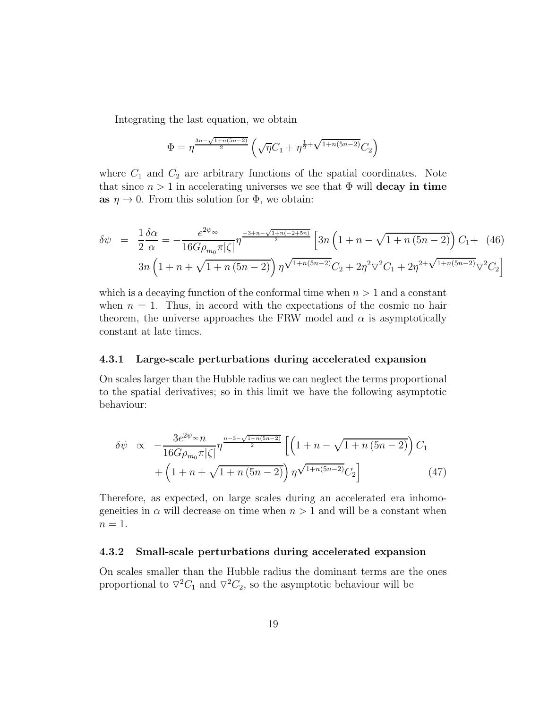Integrating the last equation, we obtain

$$
\Phi = \eta^{\frac{3n - \sqrt{1 + n(5n - 2)}}{2}} \left( \sqrt{\eta} C_1 + \eta^{\frac{1}{2} + \sqrt{1 + n(5n - 2)}} C_2 \right)
$$

where  $C_1$  and  $C_2$  are arbitrary functions of the spatial coordinates. Note that since  $n > 1$  in accelerating universes we see that  $\Phi$  will **decay in time** as  $\eta \to 0$ . From this solution for  $\Phi$ , we obtain:

$$
\delta\psi = \frac{1}{2}\frac{\delta\alpha}{\alpha} = -\frac{e^{2\psi_{\infty}}}{16G\rho_{m_0}\pi|\zeta|} \eta^{\frac{-3+n-\sqrt{1+n(-2+5n)}}{2}} \left[3n\left(1+n-\sqrt{1+n(5n-2)}\right)C_1 + (46)\right]
$$

$$
3n\left(1+n+\sqrt{1+n(5n-2)}\right)\eta^{\sqrt{1+n(5n-2)}}C_2 + 2\eta^2\nabla^2C_1 + 2\eta^{2+\sqrt{1+n(5n-2)}}\nabla^2C_2\right]
$$

which is a decaying function of the conformal time when  $n > 1$  and a constant when  $n = 1$ . Thus, in accord with the expectations of the cosmic no hair theorem, the universe approaches the FRW model and  $\alpha$  is asymptotically constant at late times.

#### 4.3.1 Large-scale perturbations during accelerated expansion

On scales larger than the Hubble radius we can neglect the terms proportional to the spatial derivatives; so in this limit we have the following asymptotic behaviour:

$$
\delta\psi \propto -\frac{3e^{2\psi_{\infty}}n}{16G\rho_{m_0}\pi|\zeta|} \eta^{\frac{n-3-\sqrt{1+n(5n-2)}}{2}} \left[ \left(1+n-\sqrt{1+n(5n-2)}\right) C_1 + \left(1+n+\sqrt{1+n(5n-2)}\right) \eta^{\sqrt{1+n(5n-2)}} C_2 \right] \tag{47}
$$

Therefore, as expected, on large scales during an accelerated era inhomogeneities in  $\alpha$  will decrease on time when  $n > 1$  and will be a constant when  $n=1$ .

#### 4.3.2 Small-scale perturbations during accelerated expansion

On scales smaller than the Hubble radius the dominant terms are the ones proportional to  $\nabla^2 C_1$  and  $\nabla^2 C_2$ , so the asymptotic behaviour will be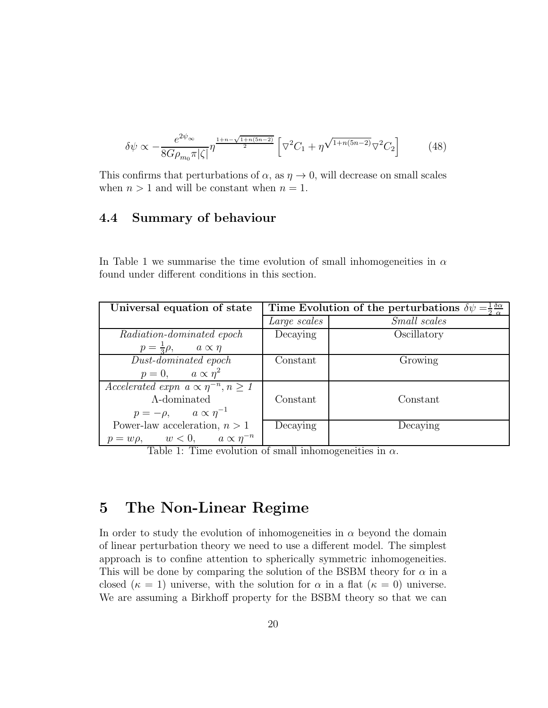$$
\delta\psi \propto -\frac{e^{2\psi_{\infty}}}{8G\rho_{m_0}\pi|\zeta|} \eta^{\frac{1+n-\sqrt{1+n(5n-2)}}{2}} \left[\nabla^2 C_1 + \eta^{\sqrt{1+n(5n-2)}} \nabla^2 C_2\right] \tag{48}
$$

This confirms that perturbations of  $\alpha$ , as  $\eta \to 0$ , will decrease on small scales when  $n > 1$  and will be constant when  $n = 1$ .

## 4.4 Summary of behaviour

In Table 1 we summarise the time evolution of small inhomogeneities in  $\alpha$ found under different conditions in this section.

| Universal equation of state                           | $\delta \alpha$<br>Time Evolution of the perturbations $\delta \psi$ |                     |
|-------------------------------------------------------|----------------------------------------------------------------------|---------------------|
|                                                       | Large scales                                                         | <i>Small</i> scales |
| Radiation-dominated epoch                             | Decaying                                                             | Oscillatory         |
| $p = \frac{1}{3}\rho$ , $a \propto \eta$              |                                                                      |                     |
| Dust-dominated epoch                                  | Constant                                                             | Growing             |
| $p = 0, \qquad a \propto \eta^2$                      |                                                                      |                     |
| Accelerated expn $a \propto \eta^{-n}, n \geq 1$      |                                                                      |                     |
| $\Lambda$ -dominated                                  | Constant                                                             | Constant            |
| $p=-\rho, \qquad a \propto \eta^{-1}$                 |                                                                      |                     |
| Power-law acceleration, $n > 1$                       | Decaying                                                             | Decaying            |
| $p = w\rho, \qquad w < 0, \qquad a \propto \eta^{-n}$ |                                                                      |                     |

Table 1: Time evolution of small inhomogeneities in  $\alpha$ .

## 5 The Non-Linear Regime

In order to study the evolution of inhomogeneities in  $\alpha$  beyond the domain of linear perturbation theory we need to use a different model. The simplest approach is to confine attention to spherically symmetric inhomogeneities. This will be done by comparing the solution of the BSBM theory for  $\alpha$  in a closed ( $\kappa = 1$ ) universe, with the solution for  $\alpha$  in a flat ( $\kappa = 0$ ) universe. We are assuming a Birkhoff property for the BSBM theory so that we can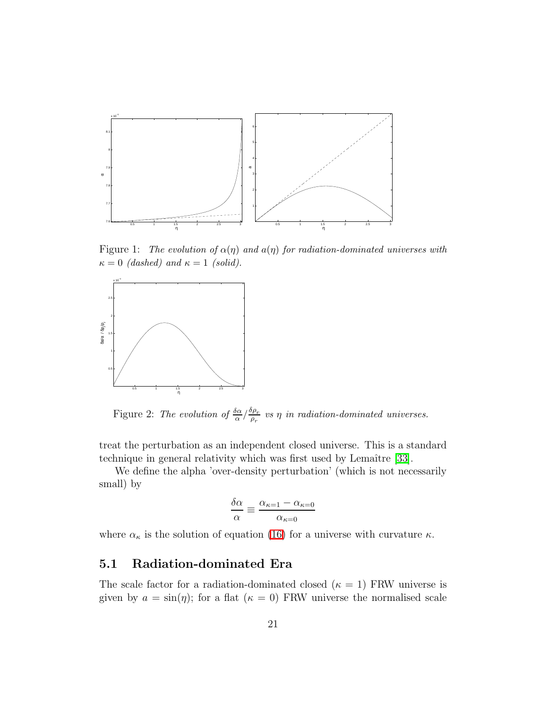

<span id="page-20-0"></span>Figure 1: The evolution of  $\alpha(\eta)$  and  $\alpha(\eta)$  for radiation-dominated universes with  $\kappa = 0$  (dashed) and  $\kappa = 1$  (solid).



<span id="page-20-1"></span>Figure 2: The evolution of  $\frac{\delta \alpha}{\alpha} / \frac{\delta \rho_r}{\rho_r}$  $\frac{\rho_{P_T}}{\rho_r}$  vs  $\eta$  in radiation-dominated universes.

treat the perturbation as an independent closed universe. This is a standard technique in general relativity which was first used by Lemaître [\[33\]](#page-27-14).

We define the alpha 'over-density perturbation' (which is not necessarily small) by

$$
\frac{\delta\alpha}{\alpha} \equiv \frac{\alpha_{\kappa=1} - \alpha_{\kappa=0}}{\alpha_{\kappa=0}}
$$

where  $\alpha_{\kappa}$  is the solution of equation [\(16\)](#page-9-0) for a universe with curvature  $\kappa$ .

## 5.1 Radiation-dominated Era

The scale factor for a radiation-dominated closed ( $\kappa = 1$ ) FRW universe is given by  $a = \sin(\eta)$ ; for a flat  $(\kappa = 0)$  FRW universe the normalised scale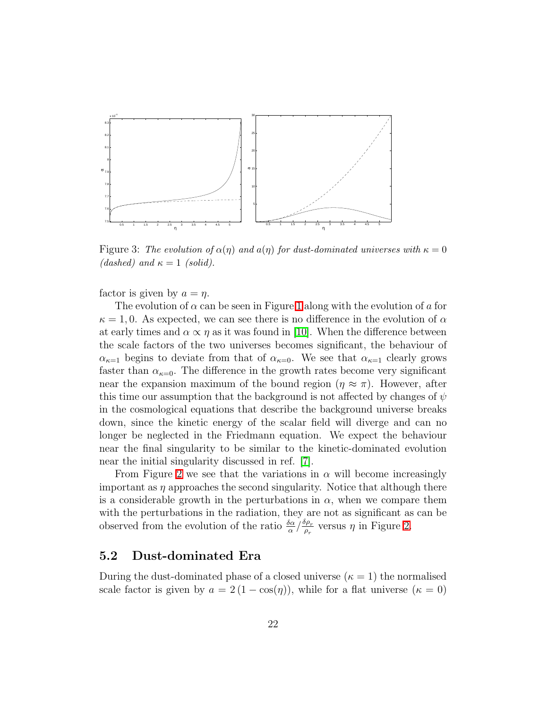

<span id="page-21-0"></span>Figure 3: The evolution of  $\alpha(\eta)$  and  $\alpha(\eta)$  for dust-dominated universes with  $\kappa = 0$ (dashed) and  $\kappa = 1$  (solid).

factor is given by  $a = \eta$ .

The evolution of  $\alpha$  can be seen in Figure [1](#page-20-0) along with the evolution of a for  $\kappa = 1, 0$ . As expected, we can see there is no difference in the evolution of  $\alpha$ at early times and  $\alpha \propto \eta$  as it was found in [\[10\]](#page-26-2). When the difference between the scale factors of the two universes becomes significant, the behaviour of  $\alpha_{\kappa=1}$  begins to deviate from that of  $\alpha_{\kappa=0}$ . We see that  $\alpha_{\kappa=1}$  clearly grows faster than  $\alpha_{\kappa=0}$ . The difference in the growth rates become very significant near the expansion maximum of the bound region  $(\eta \approx \pi)$ . However, after this time our assumption that the background is not affected by changes of  $\psi$ in the cosmological equations that describe the background universe breaks down, since the kinetic energy of the scalar field will diverge and can no longer be neglected in the Friedmann equation. We expect the behaviour near the final singularity to be similar to the kinetic-dominated evolution near the initial singularity discussed in ref. [\[7\]](#page-25-6).

From Figure [2](#page-20-1) we see that the variations in  $\alpha$  will become increasingly important as  $\eta$  approaches the second singularity. Notice that although there is a considerable growth in the perturbations in  $\alpha$ , when we compare them with the perturbations in the radiation, they are not as significant as can be observed from the evolution of the ratio  $\frac{\delta \alpha}{\alpha} / \frac{\delta \rho_r}{\rho_r}$  $\frac{\partial \rho_r}{\partial \rho_r}$  versus  $\eta$  in Figure [2.](#page-20-1)

### 5.2 Dust-dominated Era

During the dust-dominated phase of a closed universe ( $\kappa = 1$ ) the normalised scale factor is given by  $a = 2(1 - \cos(\eta))$ , while for a flat universe  $(\kappa = 0)$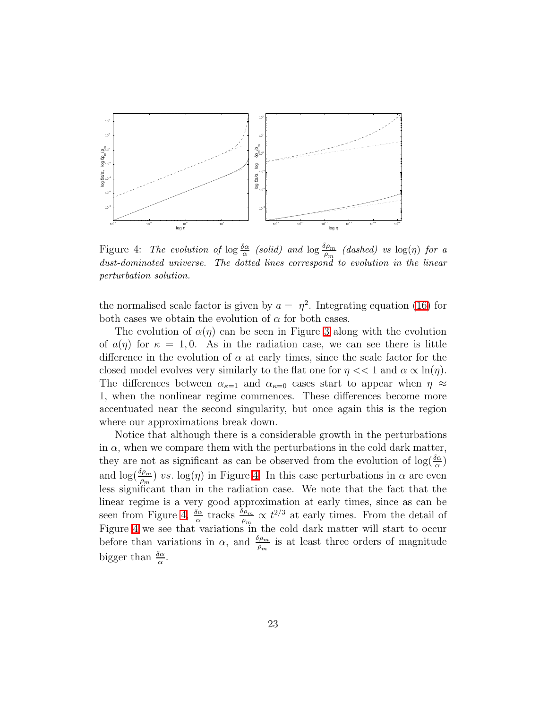

<span id="page-22-0"></span>Figure 4: The evolution of  $\log \frac{\delta \alpha}{\alpha}$  (solid) and  $\log \frac{\delta \rho_m}{\rho_m}$  (dashed) vs  $\log(\eta)$  for a dust-dominated universe. The dotted lines correspond to evolution in the linear perturbation solution.

the normalised scale factor is given by  $a = \eta^2$ . Integrating equation [\(16\)](#page-9-0) for both cases we obtain the evolution of  $\alpha$  for both cases.

The evolution of  $\alpha(\eta)$  can be seen in Figure [3](#page-21-0) along with the evolution of  $a(\eta)$  for  $\kappa = 1, 0$ . As in the radiation case, we can see there is little difference in the evolution of  $\alpha$  at early times, since the scale factor for the closed model evolves very similarly to the flat one for  $\eta \ll 1$  and  $\alpha \propto \ln(\eta)$ . The differences between  $\alpha_{\kappa=1}$  and  $\alpha_{\kappa=0}$  cases start to appear when  $\eta \approx$ 1, when the nonlinear regime commences. These differences become more accentuated near the second singularity, but once again this is the region where our approximations break down.

Notice that although there is a considerable growth in the perturbations in  $\alpha$ , when we compare them with the perturbations in the cold dark matter, they are not as significant as can be observed from the evolution of  $\log(\frac{\delta \alpha}{\alpha})$ and  $\log(\frac{\delta \rho_m}{\rho_m})$  vs.  $\log(\eta)$  in Figure [4.](#page-22-0) In this case perturbations in  $\alpha$  are even less significant than in the radiation case. We note that the fact that the linear regime is a very good approximation at early times, since as can be seen from Figure [4,](#page-22-0)  $\frac{\delta \alpha}{\alpha}$  tracks  $\frac{\delta \rho_m}{\rho_m} \propto t^{2/3}$  at early times. From the detail of Figure [4](#page-22-0) we see that variations in the cold dark matter will start to occur before than variations in  $\alpha$ , and  $\frac{\delta \rho_m}{\rho_m}$  is at least three orders of magnitude bigger than  $\frac{\delta \alpha}{\alpha}$ .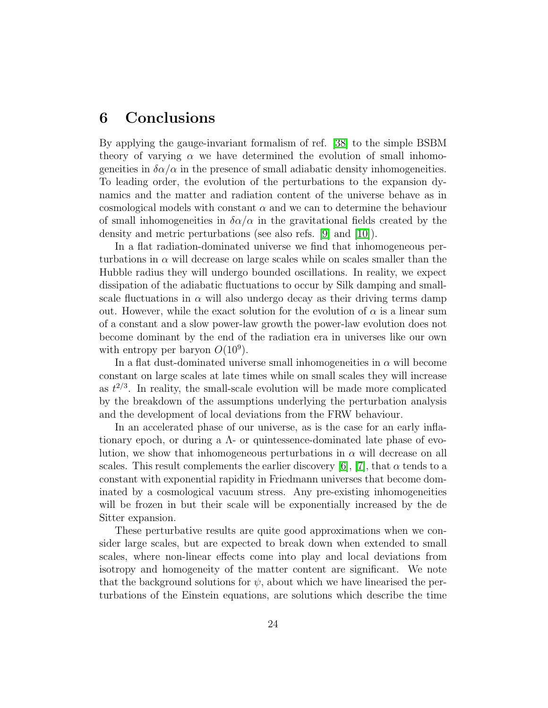## 6 Conclusions

By applying the gauge-invariant formalism of ref. [\[38\]](#page-27-12) to the simple BSBM theory of varying  $\alpha$  we have determined the evolution of small inhomogenetics in  $\delta \alpha / \alpha$  in the presence of small adiabatic density inhomogeneities. To leading order, the evolution of the perturbations to the expansion dynamics and the matter and radiation content of the universe behave as in cosmological models with constant  $\alpha$  and we can to determine the behaviour of small inhomogeneities in  $\delta \alpha / \alpha$  in the gravitational fields created by the density and metric perturbations (see also refs. [\[9\]](#page-26-1) and [\[10\]](#page-26-2)).

In a flat radiation-dominated universe we find that inhomogeneous perturbations in  $\alpha$  will decrease on large scales while on scales smaller than the Hubble radius they will undergo bounded oscillations. In reality, we expect dissipation of the adiabatic fluctuations to occur by Silk damping and smallscale fluctuations in  $\alpha$  will also undergo decay as their driving terms damp out. However, while the exact solution for the evolution of  $\alpha$  is a linear sum of a constant and a slow power-law growth the power-law evolution does not become dominant by the end of the radiation era in universes like our own with entropy per baryon  $O(10^9)$ .

In a flat dust-dominated universe small inhomogeneities in  $\alpha$  will become constant on large scales at late times while on small scales they will increase as  $t^{2/3}$ . In reality, the small-scale evolution will be made more complicated by the breakdown of the assumptions underlying the perturbation analysis and the development of local deviations from the FRW behaviour.

In an accelerated phase of our universe, as is the case for an early inflationary epoch, or during a  $\Lambda$ - or quintessence-dominated late phase of evolution, we show that inhomogeneous perturbations in  $\alpha$  will decrease on all scales. This result complements the earlier discovery [\[6\]](#page-25-5), [\[7\]](#page-25-6), that  $\alpha$  tends to a constant with exponential rapidity in Friedmann universes that become dominated by a cosmological vacuum stress. Any pre-existing inhomogeneities will be frozen in but their scale will be exponentially increased by the de Sitter expansion.

These perturbative results are quite good approximations when we consider large scales, but are expected to break down when extended to small scales, where non-linear effects come into play and local deviations from isotropy and homogeneity of the matter content are significant. We note that the background solutions for  $\psi$ , about which we have linearised the perturbations of the Einstein equations, are solutions which describe the time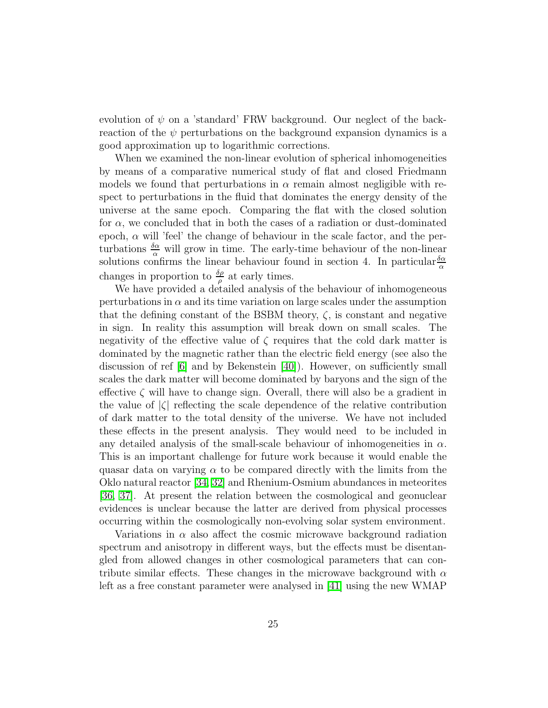evolution of  $\psi$  on a 'standard' FRW background. Our neglect of the backreaction of the  $\psi$  perturbations on the background expansion dynamics is a good approximation up to logarithmic corrections.

When we examined the non-linear evolution of spherical inhomogeneities by means of a comparative numerical study of flat and closed Friedmann models we found that perturbations in  $\alpha$  remain almost negligible with respect to perturbations in the fluid that dominates the energy density of the universe at the same epoch. Comparing the flat with the closed solution for  $\alpha$ , we concluded that in both the cases of a radiation or dust-dominated epoch,  $\alpha$  will 'feel' the change of behaviour in the scale factor, and the perturbations  $\frac{\delta \alpha}{\alpha}$  will grow in time. The early-time behaviour of the non-linear solutions confirms the linear behaviour found in section 4. In particular  $\frac{\delta \alpha}{\alpha}$ changes in proportion to  $\frac{\delta \rho}{\rho}$  at early times.

We have provided a detailed analysis of the behaviour of inhomogeneous perturbations in  $\alpha$  and its time variation on large scales under the assumption that the defining constant of the BSBM theory,  $\zeta$ , is constant and negative in sign. In reality this assumption will break down on small scales. The negativity of the effective value of  $\zeta$  requires that the cold dark matter is dominated by the magnetic rather than the electric field energy (see also the discussion of ref [\[6\]](#page-25-5) and by Bekenstein [\[40\]](#page-27-15)). However, on sufficiently small scales the dark matter will become dominated by baryons and the sign of the effective  $\zeta$  will have to change sign. Overall, there will also be a gradient in the value of  $|\zeta|$  reflecting the scale dependence of the relative contribution of dark matter to the total density of the universe. We have not included these effects in the present analysis. They would need to be included in any detailed analysis of the small-scale behaviour of inhomogeneities in  $\alpha$ . This is an important challenge for future work because it would enable the quasar data on varying  $\alpha$  to be compared directly with the limits from the Oklo natural reactor [\[34,](#page-27-8) [32\]](#page-27-7) and Rhenium-Osmium abundances in meteorites [\[36,](#page-27-10) [37\]](#page-27-11). At present the relation between the cosmological and geonuclear evidences is unclear because the latter are derived from physical processes occurring within the cosmologically non-evolving solar system environment.

Variations in  $\alpha$  also affect the cosmic microwave background radiation spectrum and anisotropy in different ways, but the effects must be disentangled from allowed changes in other cosmological parameters that can contribute similar effects. These changes in the microwave background with  $\alpha$ left as a free constant parameter were analysed in [\[41\]](#page-27-16) using the new WMAP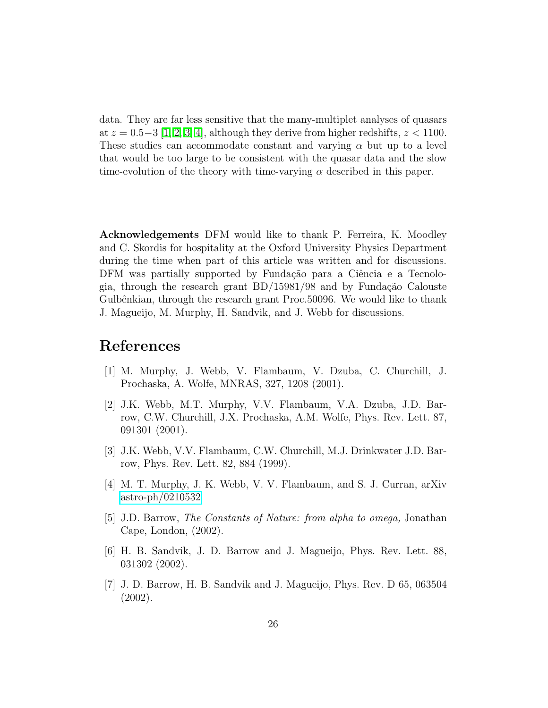data. They are far less sensitive that the many-multiplet analyses of quasars at  $z = 0.5-3$  [\[1,](#page-25-0) [2,](#page-25-1) [3,](#page-25-2) [4\]](#page-25-3), although they derive from higher redshifts,  $z < 1100$ . These studies can accommodate constant and varying  $\alpha$  but up to a level that would be too large to be consistent with the quasar data and the slow time-evolution of the theory with time-varying  $\alpha$  described in this paper.

Acknowledgements DFM would like to thank P. Ferreira, K. Moodley and C. Skordis for hospitality at the Oxford University Physics Department during the time when part of this article was written and for discussions. DFM was partially supported by Fundação para a Ciência e a Tecnologia, through the research grant  $BD/15981/98$  and by Fundação Calouste Gulbênkian, through the research grant Proc. 50096. We would like to thank J. Magueijo, M. Murphy, H. Sandvik, and J. Webb for discussions.

## <span id="page-25-0"></span>References

- <span id="page-25-1"></span>[1] M. Murphy, J. Webb, V. Flambaum, V. Dzuba, C. Churchill, J. Prochaska, A. Wolfe, MNRAS, 327, 1208 (2001).
- [2] J.K. Webb, M.T. Murphy, V.V. Flambaum, V.A. Dzuba, J.D. Barrow, C.W. Churchill, J.X. Prochaska, A.M. Wolfe, Phys. Rev. Lett. 87, 091301 (2001).
- <span id="page-25-3"></span><span id="page-25-2"></span>[3] J.K. Webb, V.V. Flambaum, C.W. Churchill, M.J. Drinkwater J.D. Barrow, Phys. Rev. Lett. 82, 884 (1999).
- [4] M. T. Murphy, J. K. Webb, V. V. Flambaum, and S. J. Curran, arXiv [astro-ph/0210532](http://arxiv.org/abs/astro-ph/0210532)
- <span id="page-25-5"></span><span id="page-25-4"></span>[5] J.D. Barrow, The Constants of Nature: from alpha to omega, Jonathan Cape, London, (2002).
- [6] H. B. Sandvik, J. D. Barrow and J. Magueijo, Phys. Rev. Lett. 88, 031302 (2002).
- <span id="page-25-6"></span>[7] J. D. Barrow, H. B. Sandvik and J. Magueijo, Phys. Rev. D 65, 063504 (2002).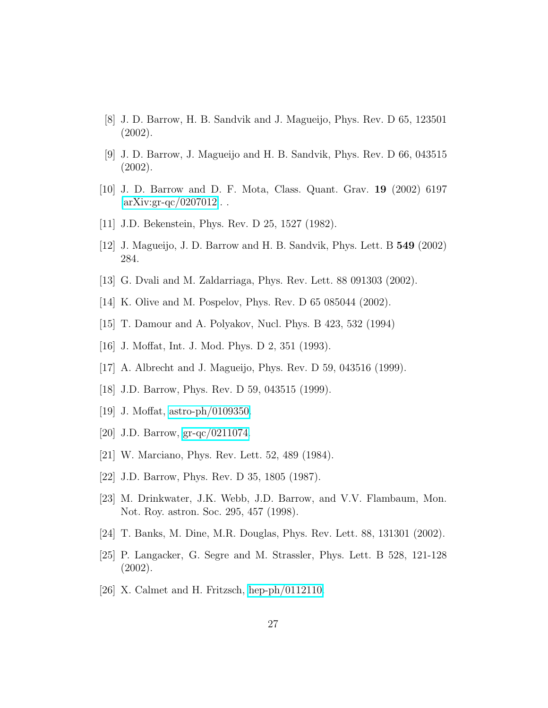- <span id="page-26-1"></span><span id="page-26-0"></span>[8] J. D. Barrow, H. B. Sandvik and J. Magueijo, Phys. Rev. D 65, 123501 (2002).
- [9] J. D. Barrow, J. Magueijo and H. B. Sandvik, Phys. Rev. D 66, 043515 (2002).
- <span id="page-26-3"></span><span id="page-26-2"></span>[10] J. D. Barrow and D. F. Mota, Class. Quant. Grav. 19 (2002) 6197  $\left[\ar{\text{Xiv:gr-qc}/0207012}\right]$ .
- <span id="page-26-4"></span>[11] J.D. Bekenstein, Phys. Rev. D 25, 1527 (1982).
- <span id="page-26-5"></span>[12] J. Magueijo, J. D. Barrow and H. B. Sandvik, Phys. Lett. B 549 (2002) 284.
- <span id="page-26-6"></span>[13] G. Dvali and M. Zaldarriaga, Phys. Rev. Lett. 88 091303 (2002).
- <span id="page-26-7"></span>[14] K. Olive and M. Pospelov, Phys. Rev. D 65 085044 (2002).
- <span id="page-26-8"></span>[15] T. Damour and A. Polyakov, Nucl. Phys. B 423, 532 (1994)
- <span id="page-26-9"></span>[16] J. Moffat, Int. J. Mod. Phys. D 2, 351 (1993).
- <span id="page-26-10"></span>[17] A. Albrecht and J. Magueijo, Phys. Rev. D 59, 043516 (1999).
- <span id="page-26-11"></span>[18] J.D. Barrow, Phys. Rev. D 59, 043515 (1999).
- <span id="page-26-12"></span>[19] J. Moffat, [astro-ph/0109350.](http://arxiv.org/abs/astro-ph/0109350)
- <span id="page-26-13"></span>[20] J.D. Barrow, [gr-qc/0211074.](http://arxiv.org/abs/gr-qc/0211074)
- <span id="page-26-14"></span>[21] W. Marciano, Phys. Rev. Lett. 52, 489 (1984).
- <span id="page-26-15"></span>[22] J.D. Barrow, Phys. Rev. D 35, 1805 (1987).
- <span id="page-26-16"></span>[23] M. Drinkwater, J.K. Webb, J.D. Barrow, and V.V. Flambaum, Mon. Not. Roy. astron. Soc. 295, 457 (1998).
- <span id="page-26-17"></span>[24] T. Banks, M. Dine, M.R. Douglas, Phys. Rev. Lett. 88, 131301 (2002).
- [25] P. Langacker, G. Segre and M. Strassler, Phys. Lett. B 528, 121-128 (2002).
- <span id="page-26-18"></span>[26] X. Calmet and H. Fritzsch, [hep-ph/0112110.](http://arxiv.org/abs/hep-ph/0112110)